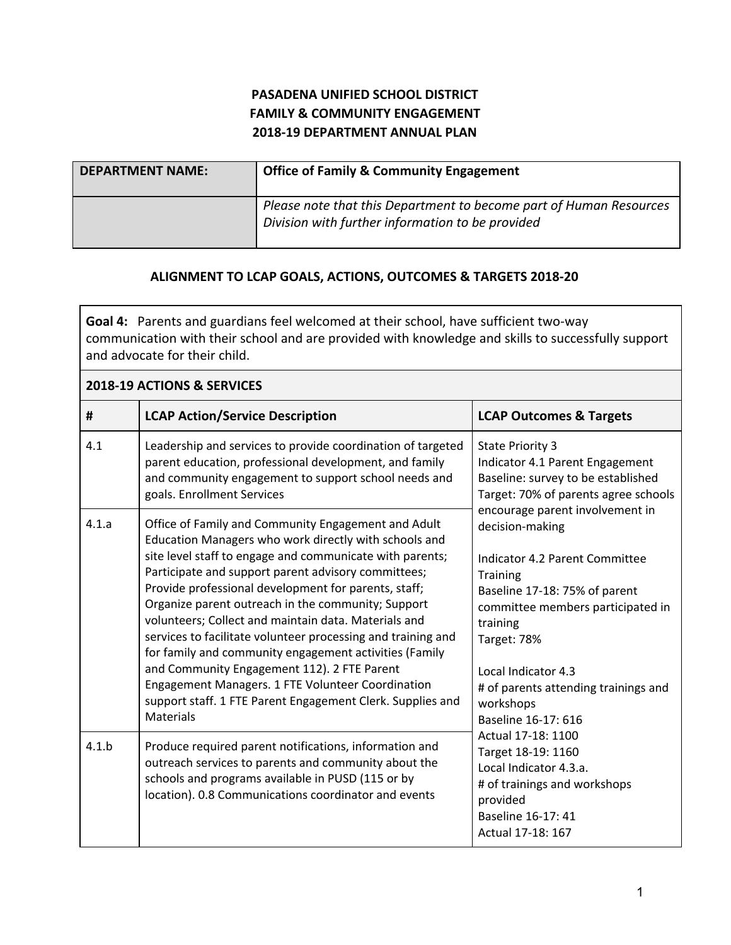## **PASADENA UNIFIED SCHOOL DISTRICT FAMILY & COMMUNITY ENGAGEMENT 2018-19 DEPARTMENT ANNUAL PLAN**

| <b>DEPARTMENT NAME:</b> | <b>Office of Family &amp; Community Engagement</b>                                                                     |
|-------------------------|------------------------------------------------------------------------------------------------------------------------|
|                         | Please note that this Department to become part of Human Resources<br>Division with further information to be provided |

## **ALIGNMENT TO LCAP GOALS, ACTIONS, OUTCOMES & TARGETS 2018-20**

**Goal 4:** Parents and guardians feel welcomed at their school, have sufficient two-way communication with their school and are provided with knowledge and skills to successfully support and advocate for their child.

| 2018-19 ACTIONS & SERVICES |                                                                                                                                                                                                                                                                                                                                                                                                                                                                                                                                                                                                                                                                                                                       |                                                                                                                                                                                                                                                                                                                                                                                                                                                                                                                                                                                                                      |  |
|----------------------------|-----------------------------------------------------------------------------------------------------------------------------------------------------------------------------------------------------------------------------------------------------------------------------------------------------------------------------------------------------------------------------------------------------------------------------------------------------------------------------------------------------------------------------------------------------------------------------------------------------------------------------------------------------------------------------------------------------------------------|----------------------------------------------------------------------------------------------------------------------------------------------------------------------------------------------------------------------------------------------------------------------------------------------------------------------------------------------------------------------------------------------------------------------------------------------------------------------------------------------------------------------------------------------------------------------------------------------------------------------|--|
| #                          | <b>LCAP Action/Service Description</b>                                                                                                                                                                                                                                                                                                                                                                                                                                                                                                                                                                                                                                                                                | <b>LCAP Outcomes &amp; Targets</b>                                                                                                                                                                                                                                                                                                                                                                                                                                                                                                                                                                                   |  |
| 4.1                        | Leadership and services to provide coordination of targeted<br>parent education, professional development, and family<br>and community engagement to support school needs and<br>goals. Enrollment Services                                                                                                                                                                                                                                                                                                                                                                                                                                                                                                           | <b>State Priority 3</b><br>Indicator 4.1 Parent Engagement<br>Baseline: survey to be established<br>Target: 70% of parents agree schools<br>encourage parent involvement in<br>decision-making<br>Indicator 4.2 Parent Committee<br><b>Training</b><br>Baseline 17-18: 75% of parent<br>committee members participated in<br>training<br>Target: 78%<br>Local Indicator 4.3<br># of parents attending trainings and<br>workshops<br>Baseline 16-17: 616<br>Actual 17-18: 1100<br>Target 18-19: 1160<br>Local Indicator 4.3.a.<br># of trainings and workshops<br>provided<br>Baseline 16-17: 41<br>Actual 17-18: 167 |  |
| 4.1.a                      | Office of Family and Community Engagement and Adult<br>Education Managers who work directly with schools and<br>site level staff to engage and communicate with parents;<br>Participate and support parent advisory committees;<br>Provide professional development for parents, staff;<br>Organize parent outreach in the community; Support<br>volunteers; Collect and maintain data. Materials and<br>services to facilitate volunteer processing and training and<br>for family and community engagement activities (Family<br>and Community Engagement 112). 2 FTE Parent<br>Engagement Managers. 1 FTE Volunteer Coordination<br>support staff. 1 FTE Parent Engagement Clerk. Supplies and<br><b>Materials</b> |                                                                                                                                                                                                                                                                                                                                                                                                                                                                                                                                                                                                                      |  |
| 4.1.b                      | Produce required parent notifications, information and<br>outreach services to parents and community about the<br>schools and programs available in PUSD (115 or by<br>location). 0.8 Communications coordinator and events                                                                                                                                                                                                                                                                                                                                                                                                                                                                                           |                                                                                                                                                                                                                                                                                                                                                                                                                                                                                                                                                                                                                      |  |